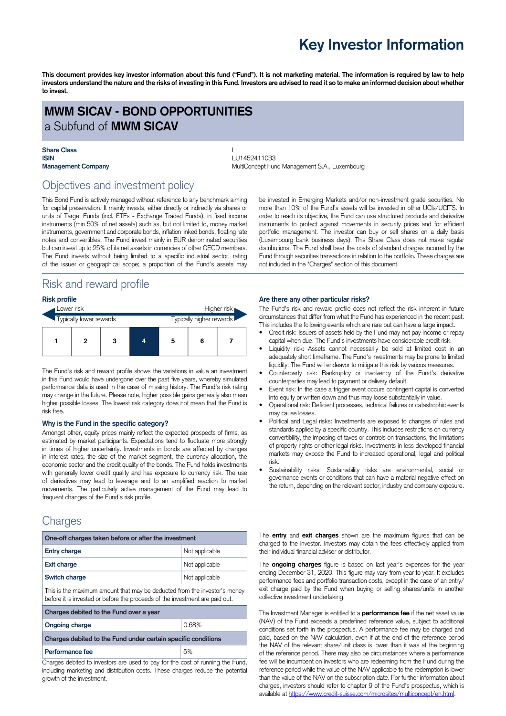## **Key Investor Information**

This document provides key investor information about this fund ("Fund"). It is not marketing material. The information is required by law to help investors understand the nature and the risks of investing in this Fund. Investors are advised to read it so to make an informed decision about whether **to invest.**

## **MWM SICAV - BOND OPPORTUNITIES** a Subfund of **MWM SICAV**

# **Share Class** I

**ISIN** LU1452411033 **Management Company MultiConcept Fund Management S.A., Luxembourg Company** 

## Objectives and investment policy

This Bond Fund is actively managed without reference to any benchmark aiming for capital preservation. It mainly invests, either directly or indirectly via shares or units of Target Funds (incl. ETFs - Exchange Traded Funds), in fixed income instruments (min 50% of net assets) such as, but not limited to, money market instruments, government and corporate bonds, inflation linked bonds, floating rate notes and convertibles. The Fund invest mainly in EUR denominated securities but can invest up to 25% of its net assets in currencies of other OECD members. The Fund invests without being limited to a specific industrial sector, rating of the issuer or geographical scope; a proportion of the Fund's assets may

## Risk and reward profile

#### **Risk profile**

| Lower risk              |  |   | Higher risk |                          |   |  |
|-------------------------|--|---|-------------|--------------------------|---|--|
| Typically lower rewards |  |   |             | Typically higher rewards |   |  |
|                         |  | 3 |             | 5                        | 6 |  |

The Fund's risk and reward profile shows the variations in value an investment in this Fund would have undergone over the past five years, whereby simulated performance data is used in the case of missing history. The Fund's risk rating may change in the future. Please note, higher possible gains generally also mean higher possible losses. The lowest risk category does not mean that the Fund is risk free.

#### **Why is the Fund in the specific category?**

Amongst other, equity prices mainly reflect the expected prospects of firms, as estimated by market participants. Expectations tend to fluctuate more strongly in times of higher uncertainty. Investments in bonds are affected by changes in interest rates, the size of the market segment, the currency allocation, the economic sector and the credit quality of the bonds. The Fund holds investments with generally lower credit quality and has exposure to currency risk. The use of derivatives may lead to leverage and to an amplified reaction to market movements. The particularly active management of the Fund may lead to frequent changes of the Fund's risk profile.

## **Charges**

| One-off charges taken before or after the investment                                                                                                      |                |  |  |  |  |
|-----------------------------------------------------------------------------------------------------------------------------------------------------------|----------------|--|--|--|--|
| <b>Entry charge</b>                                                                                                                                       | Not applicable |  |  |  |  |
| <b>Exit charge</b>                                                                                                                                        | Not applicable |  |  |  |  |
| Switch charge                                                                                                                                             | Not applicable |  |  |  |  |
| This is the maximum amount that may be deducted from the investor's money<br>before it is invested or before the proceeds of the investment are paid out. |                |  |  |  |  |
| Charges debited to the Fund over a year                                                                                                                   |                |  |  |  |  |
| <b>Ongoing charge</b>                                                                                                                                     | 0.68%          |  |  |  |  |
| Charges debited to the Fund under certain specific conditions                                                                                             |                |  |  |  |  |
| Performance fee                                                                                                                                           | 5%             |  |  |  |  |

Charges debited to investors are used to pay for the cost of running the Fund, including marketing and distribution costs. These charges reduce the potential growth of the investment.

be invested in Emerging Markets and/or non-investment grade securities. No more than 10% of the Fund's assets will be invested in other UCIs/UCITS. In order to reach its objective, the Fund can use structured products and derivative instruments to protect against movements in security prices and for efficient portfolio management. The investor can buy or sell shares on a daily basis (Luxembourg bank business days). This Share Class does not make regular distributions. The Fund shall bear the costs of standard charges incurred by the Fund through securities transactions in relation to the portfolio. These charges are not included in the "Charges" section of this document.

#### **Are there any other particular risks?**

The Fund's risk and reward profile does not reflect the risk inherent in future circumstances that differ from what the Fund has experienced in the recent past. This includes the following events which are rare but can have a large impact.

- Credit risk: Issuers of assets held by the Fund may not pay income or repay capital when due. The Fund's investments have considerable credit risk.
- Liquidity risk: Assets cannot necessarily be sold at limited cost in an adequately short timeframe. The Fund's investments may be prone to limited liquidity. The Fund will endeavor to mitigate this risk by various measures.
- Counterparty risk: Bankruptcy or insolvency of the Fund's derivative counterparties may lead to payment or delivery default.
- Event risk: In the case a trigger event occurs contingent capital is converted into equity or written down and thus may loose substantially in value.
- Operational risk: Deficient processes, technical failures or catastrophic events may cause losses.
- Political and Legal risks: Investments are exposed to changes of rules and standards applied by a specific country. This includes restrictions on currency convertibility, the imposing of taxes or controls on transactions, the limitations of property rights or other legal risks. Investments in less developed financial markets may expose the Fund to increased operational, legal and political risk.
- Sustainability risks: Sustainability risks are environmental, social or governance events or conditions that can have a material negative effect on the return, depending on the relevant sector, industry and company exposure.

The **entry** and **exit charges** shown are the maximum figures that can be charged to the investor. Investors may obtain the fees effectively applied from their individual financial adviser or distributor.

The **ongoing charges** figure is based on last year's expenses for the year ending December 31, 2020. This figure may vary from year to year. It excludes performance fees and portfolio transaction costs, except in the case of an entry/ exit charge paid by the Fund when buying or selling shares/units in another collective investment undertaking.

The Investment Manager is entitled to a **performance fee** if the net asset value (NAV) of the Fund exceeds a predefined reference value, subject to additional conditions set forth in the prospectus. A performance fee may be charged and paid, based on the NAV calculation, even if at the end of the reference period the NAV of the relevant share/unit class is lower than it was at the beginning of the reference period. There may also be circumstances where a performance fee will be incumbent on investors who are redeeming from the Fund during the reference period while the value of the NAV applicable to the redemption is lower than the value of the NAV on the subscription date. For further information about charges, investors should refer to chapter 9 of the Fund's prospectus, which is available at [https://www.credit-suisse.com/microsites/multiconcept/en.html.](https://www.credit-suisse.com/microsites/multiconcept/en.html)